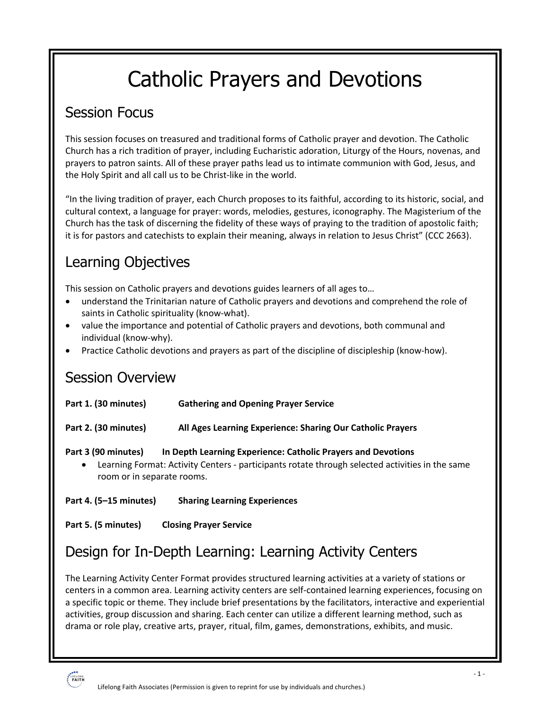# Catholic Prayers and Devotions

# Session Focus

This session focuses on treasured and traditional forms of Catholic prayer and devotion. The Catholic Church has a rich tradition of prayer, including Eucharistic adoration, Liturgy of the Hours, novenas, and prayers to patron saints. All of these prayer paths lead us to intimate communion with God, Jesus, and the Holy Spirit and all call us to be Christ-like in the world.

"In the living tradition of prayer, each Church proposes to its faithful, according to its historic, social, and cultural context, a language for prayer: words, melodies, gestures, iconography. The Magisterium of the Church has the task of discerning the fidelity of these ways of praying to the tradition of apostolic faith; it is for pastors and catechists to explain their meaning, always in relation to Jesus Christ" (CCC 2663).

# Learning Objectives

This session on Catholic prayers and devotions guides learners of all ages to…

- understand the Trinitarian nature of Catholic prayers and devotions and comprehend the role of saints in Catholic spirituality (know-what).
- value the importance and potential of Catholic prayers and devotions, both communal and individual (know-why).
- Practice Catholic devotions and prayers as part of the discipline of discipleship (know-how).

### Session Overview

| Part 1. (30 minutes) | <b>Gathering and Opening Prayer Service</b>                                                     |
|----------------------|-------------------------------------------------------------------------------------------------|
| Part 2. (30 minutes) | All Ages Learning Experience: Sharing Our Catholic Prayers                                      |
| Part 3 (90 minutes)  | In Depth Learning Experience: Catholic Prayers and Devotions                                    |
| $\bullet$            | Learning Format: Activity Centers - participants rotate through selected activities in the same |

room or in separate rooms.

**Part 4. (5–15 minutes) Sharing Learning Experiences**

**Part 5. (5 minutes) Closing Prayer Service**

# Design for In-Depth Learning: Learning Activity Centers

The Learning Activity Center Format provides structured learning activities at a variety of stations or centers in a common area. Learning activity centers are self-contained learning experiences, focusing on a specific topic or theme. They include brief presentations by the facilitators, interactive and experiential activities, group discussion and sharing. Each center can utilize a different learning method, such as drama or role play, creative arts, prayer, ritual, film, games, demonstrations, exhibits, and music.

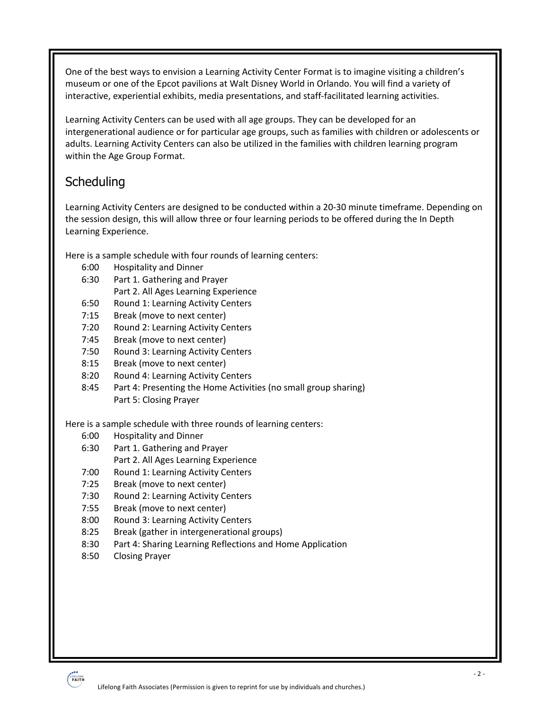One of the best ways to envision a Learning Activity Center Format is to imagine visiting a children's museum or one of the Epcot pavilions at Walt Disney World in Orlando. You will find a variety of interactive, experiential exhibits, media presentations, and staff-facilitated learning activities.

Learning Activity Centers can be used with all age groups. They can be developed for an intergenerational audience or for particular age groups, such as families with children or adolescents or adults. Learning Activity Centers can also be utilized in the families with children learning program within the Age Group Format.

### Scheduling

Learning Activity Centers are designed to be conducted within a 20-30 minute timeframe. Depending on the session design, this will allow three or four learning periods to be offered during the In Depth Learning Experience.

Here is a sample schedule with four rounds of learning centers:

- 6:00 Hospitality and Dinner
- 6:30 Part 1. Gathering and Prayer
	- Part 2. All Ages Learning Experience
- 6:50 Round 1: Learning Activity Centers
- 7:15 Break (move to next center)
- 7:20 Round 2: Learning Activity Centers
- 7:45 Break (move to next center)
- 7:50 Round 3: Learning Activity Centers
- 8:15 Break (move to next center)
- 8:20 Round 4: Learning Activity Centers
- 8:45 Part 4: Presenting the Home Activities (no small group sharing) Part 5: Closing Prayer

Here is a sample schedule with three rounds of learning centers:

- 6:00 Hospitality and Dinner
- 6:30 Part 1. Gathering and Prayer Part 2. All Ages Learning Experience
- 7:00 Round 1: Learning Activity Centers
- 7:25 Break (move to next center)
- 7:30 Round 2: Learning Activity Centers
- 7:55 Break (move to next center)
- 8:00 Round 3: Learning Activity Centers
- 8:25 Break (gather in intergenerational groups)
- 8:30 Part 4: Sharing Learning Reflections and Home Application
- 8:50 Closing Prayer

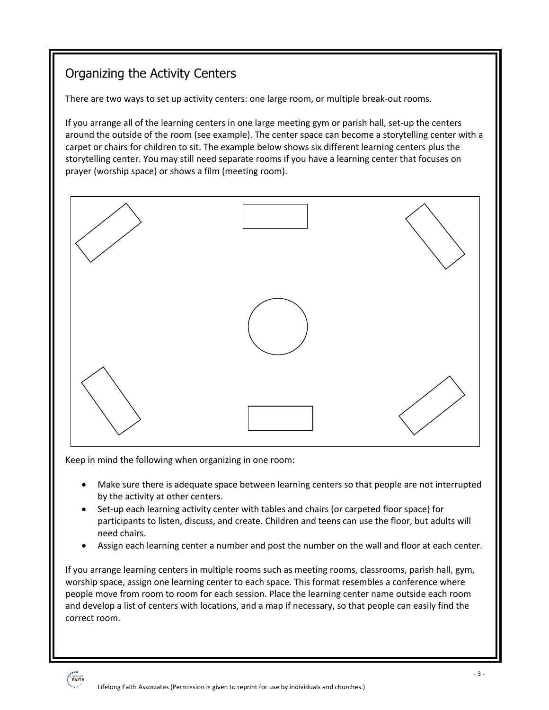### Organizing the Activity Centers

There are two ways to set up activity centers: one large room, or multiple break-out rooms.

If you arrange all of the learning centers in one large meeting gym or parish hall, set-up the centers around the outside of the room (see example). The center space can become a storytelling center with a carpet or chairs for children to sit. The example below shows six different learning centers plus the storytelling center. You may still need separate rooms if you have a learning center that focuses on prayer (worship space) or shows a film (meeting room).



Keep in mind the following when organizing in one room:

- Make sure there is adequate space between learning centers so that people are not interrupted by the activity at other centers.
- Set-up each learning activity center with tables and chairs (or carpeted floor space) for participants to listen, discuss, and create. Children and teens can use the floor, but adults will need chairs.
- Assign each learning center a number and post the number on the wall and floor at each center.

If you arrange learning centers in multiple rooms such as meeting rooms, classrooms, parish hall, gym, worship space, assign one learning center to each space. This format resembles a conference where people move from room to room for each session. Place the learning center name outside each room and develop a list of centers with locations, and a map if necessary, so that people can easily find the correct room.

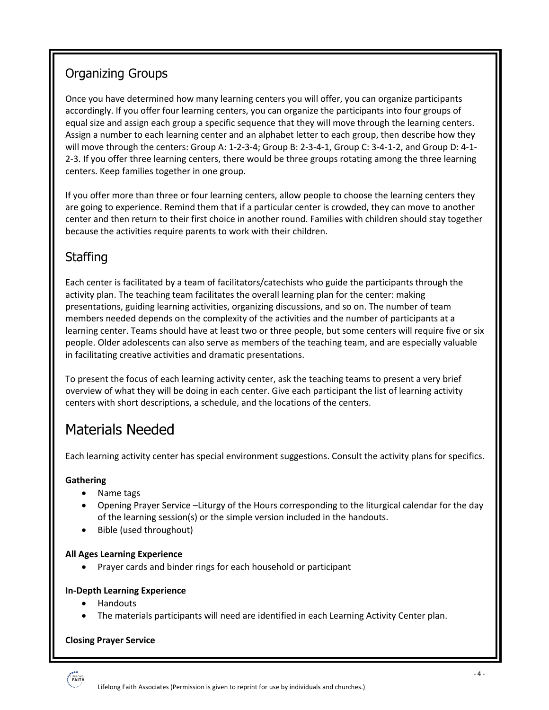### Organizing Groups

Once you have determined how many learning centers you will offer, you can organize participants accordingly. If you offer four learning centers, you can organize the participants into four groups of equal size and assign each group a specific sequence that they will move through the learning centers. Assign a number to each learning center and an alphabet letter to each group, then describe how they will move through the centers: Group A: 1-2-3-4; Group B: 2-3-4-1, Group C: 3-4-1-2, and Group D: 4-1- 2-3. If you offer three learning centers, there would be three groups rotating among the three learning centers. Keep families together in one group.

If you offer more than three or four learning centers, allow people to choose the learning centers they are going to experience. Remind them that if a particular center is crowded, they can move to another center and then return to their first choice in another round. Families with children should stay together because the activities require parents to work with their children.

### **Staffing**

Each center is facilitated by a team of facilitators/catechists who guide the participants through the activity plan. The teaching team facilitates the overall learning plan for the center: making presentations, guiding learning activities, organizing discussions, and so on. The number of team members needed depends on the complexity of the activities and the number of participants at a learning center. Teams should have at least two or three people, but some centers will require five or six people. Older adolescents can also serve as members of the teaching team, and are especially valuable in facilitating creative activities and dramatic presentations.

To present the focus of each learning activity center, ask the teaching teams to present a very brief overview of what they will be doing in each center. Give each participant the list of learning activity centers with short descriptions, a schedule, and the locations of the centers.

# Materials Needed

Each learning activity center has special environment suggestions. Consult the activity plans for specifics.

#### **Gathering**

- Name tags
- Opening Prayer Service –Liturgy of the Hours corresponding to the liturgical calendar for the day of the learning session(s) or the simple version included in the handouts.
- Bible (used throughout)

#### **All Ages Learning Experience**

• Prayer cards and binder rings for each household or participant

#### **In-Depth Learning Experience**

- Handouts
- The materials participants will need are identified in each Learning Activity Center plan.

#### **Closing Prayer Service**

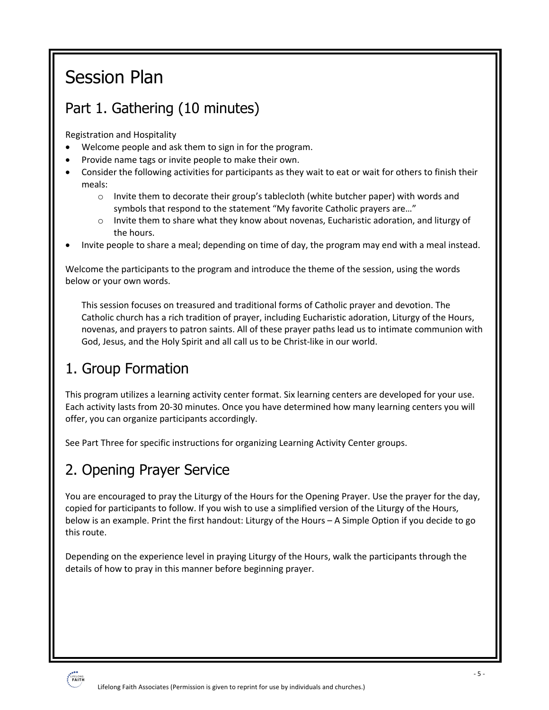# Session Plan

# Part 1. Gathering (10 minutes)

Registration and Hospitality

- Welcome people and ask them to sign in for the program.
- Provide name tags or invite people to make their own.
- Consider the following activities for participants as they wait to eat or wait for others to finish their meals:
	- o Invite them to decorate their group's tablecloth (white butcher paper) with words and symbols that respond to the statement "My favorite Catholic prayers are…"
	- o Invite them to share what they know about novenas, Eucharistic adoration, and liturgy of the hours.
- Invite people to share a meal; depending on time of day, the program may end with a meal instead.

Welcome the participants to the program and introduce the theme of the session, using the words below or your own words.

This session focuses on treasured and traditional forms of Catholic prayer and devotion. The Catholic church has a rich tradition of prayer, including Eucharistic adoration, Liturgy of the Hours, novenas, and prayers to patron saints. All of these prayer paths lead us to intimate communion with God, Jesus, and the Holy Spirit and all call us to be Christ-like in our world.

# 1. Group Formation

This program utilizes a learning activity center format. Six learning centers are developed for your use. Each activity lasts from 20-30 minutes. Once you have determined how many learning centers you will offer, you can organize participants accordingly.

See Part Three for specific instructions for organizing Learning Activity Center groups.

# 2. Opening Prayer Service

You are encouraged to pray the Liturgy of the Hours for the Opening Prayer. Use the prayer for the day, copied for participants to follow. If you wish to use a simplified version of the Liturgy of the Hours, below is an example. Print the first handout: Liturgy of the Hours – A Simple Option if you decide to go this route.

Depending on the experience level in praying Liturgy of the Hours, walk the participants through the details of how to pray in this manner before beginning prayer.

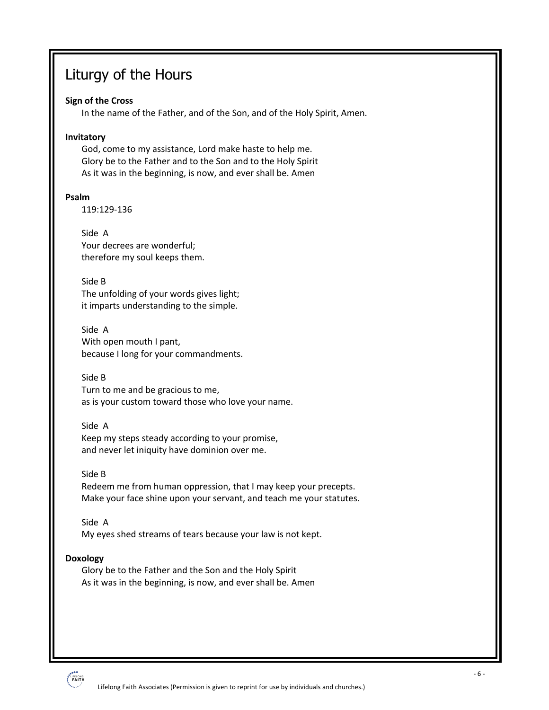# Liturgy of the Hours

#### **Sign of the Cross**

In the name of the Father, and of the Son, and of the Holy Spirit, Amen.

#### **Invitatory**

God, come to my assistance, Lord make haste to help me. Glory be to the Father and to the Son and to the Holy Spirit As it was in the beginning, is now, and ever shall be. Amen

#### **Psalm**

119:129-136

#### Side A

Your decrees are wonderful; therefore my soul keeps them.

#### Side B

The unfolding of your words gives light; it imparts understanding to the simple.

Side A With open mouth I pant, because I long for your commandments.

#### Side B

Turn to me and be gracious to me, as is your custom toward those who love your name.

#### Side A

Keep my steps steady according to your promise, and never let iniquity have dominion over me.

#### Side B

Redeem me from human oppression, that I may keep your precepts. Make your face shine upon your servant, and teach me your statutes.

#### Side A

My eyes shed streams of tears because your law is not kept.

#### **Doxology**

Glory be to the Father and the Son and the Holy Spirit As it was in the beginning, is now, and ever shall be. Amen

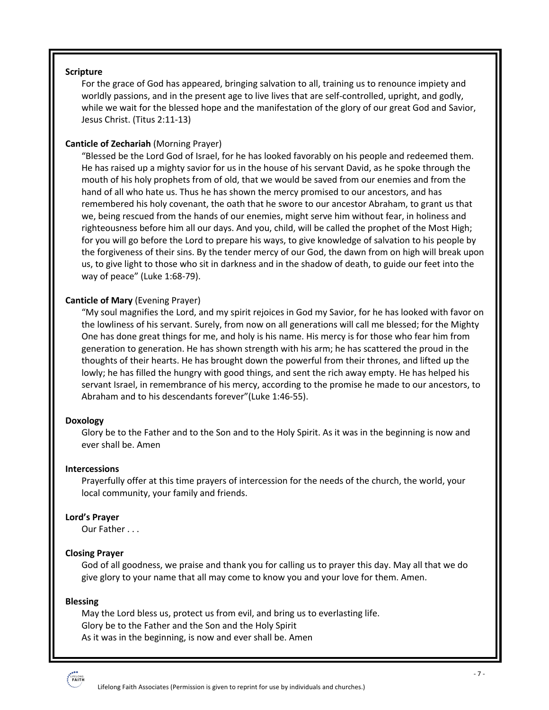#### **Scripture**

For the grace of God has appeared, bringing salvation to all, training us to renounce impiety and worldly passions, and in the present age to live lives that are self-controlled, upright, and godly, while we wait for the blessed hope and the manifestation of the glory of our great God and Savior, Jesus Christ. (Titus 2:11-13)

#### **Canticle of Zechariah** (Morning Prayer)

"Blessed be the Lord God of Israel, for he has looked favorably on his people and redeemed them. He has raised up a mighty savior for us in the house of his servant David, as he spoke through the mouth of his holy prophets from of old, that we would be saved from our enemies and from the hand of all who hate us. Thus he has shown the mercy promised to our ancestors, and has remembered his holy covenant, the oath that he swore to our ancestor Abraham, to grant us that we, being rescued from the hands of our enemies, might serve him without fear, in holiness and righteousness before him all our days. And you, child, will be called the prophet of the Most High; for you will go before the Lord to prepare his ways, to give knowledge of salvation to his people by the forgiveness of their sins. By the tender mercy of our God, the dawn from on high will break upon us, to give light to those who sit in darkness and in the shadow of death, to guide our feet into the way of peace" (Luke 1:68-79).

#### **Canticle of Mary** (Evening Prayer)

"My soul magnifies the Lord, and my spirit rejoices in God my Savior, for he has looked with favor on the lowliness of his servant. Surely, from now on all generations will call me blessed; for the Mighty One has done great things for me, and holy is his name. His mercy is for those who fear him from generation to generation. He has shown strength with his arm; he has scattered the proud in the thoughts of their hearts. He has brought down the powerful from their thrones, and lifted up the lowly; he has filled the hungry with good things, and sent the rich away empty. He has helped his servant Israel, in remembrance of his mercy, according to the promise he made to our ancestors, to Abraham and to his descendants forever"(Luke 1:46-55).

#### **Doxology**

Glory be to the Father and to the Son and to the Holy Spirit. As it was in the beginning is now and ever shall be. Amen

#### **Intercessions**

Prayerfully offer at this time prayers of intercession for the needs of the church, the world, your local community, your family and friends.

#### **Lord's Prayer**

Our Father . . .

#### **Closing Prayer**

God of all goodness, we praise and thank you for calling us to prayer this day. May all that we do give glory to your name that all may come to know you and your love for them. Amen.

#### **Blessing**

May the Lord bless us, protect us from evil, and bring us to everlasting life. Glory be to the Father and the Son and the Holy Spirit As it was in the beginning, is now and ever shall be. Amen

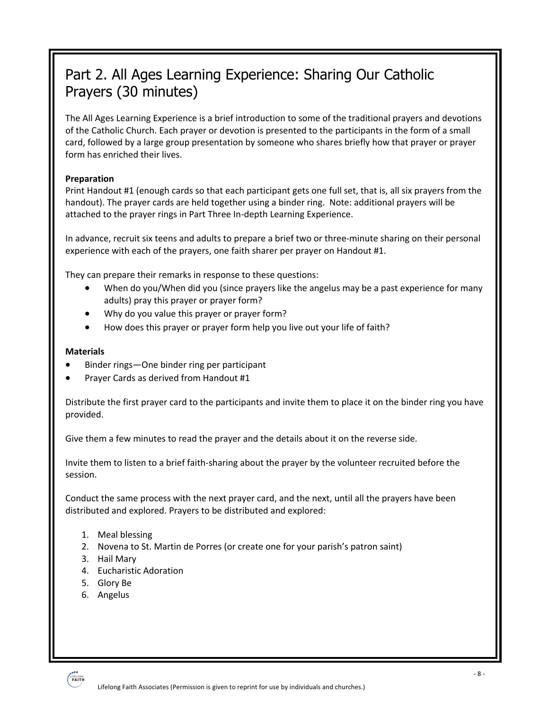# Part 2. All Ages Learning Experience: Sharing Our Catholic Prayers (30 minutes)

The All Ages Learning Experience is a brief introduction to some of the traditional prayers and devotions of the Catholic Church. Each prayer or devotion is presented to the participants in the form of a small card, followed by a large group presentation by someone who shares briefly how that prayer or prayer form has enriched their lives.

#### **Preparation**

Print Handout #1 (enough cards so that each participant gets one full set, that is, all six prayers from the handout). The prayer cards are held together using a binder ring. Note: additional prayers will be attached to the prayer rings in Part Three In-depth Learning Experience.

In advance, recruit six teens and adults to prepare a brief two or three-minute sharing on their personal experience with each of the prayers, one faith sharer per prayer on Handout #1.

They can prepare their remarks in response to these questions:

- When do you/When did you (since prayers like the angelus may be a past experience for many adults) pray this prayer or prayer form?
- Why do you value this prayer or prayer form?
- How does this prayer or prayer form help you live out your life of faith?

#### **Materials**

- Binder rings—One binder ring per participant
- Prayer Cards as derived from Handout #1

Distribute the first prayer card to the participants and invite them to place it on the binder ring you have provided.

Give them a few minutes to read the prayer and the details about it on the reverse side.

Invite them to listen to a brief faith-sharing about the prayer by the volunteer recruited before the session.

Conduct the same process with the next prayer card, and the next, until all the prayers have been distributed and explored. Prayers to be distributed and explored:

- 1. Meal blessing
- 2. Novena to St. Martin de Porres (or create one for your parish's patron saint)
- 3. Hail Mary
- 4. Eucharistic Adoration
- 5. Glory Be
- 6. Angelus

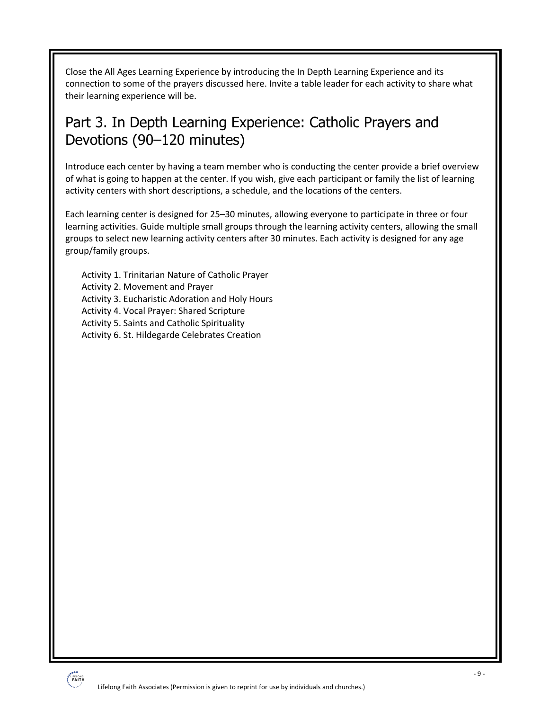Close the All Ages Learning Experience by introducing the In Depth Learning Experience and its connection to some of the prayers discussed here. Invite a table leader for each activity to share what their learning experience will be.

# Part 3. In Depth Learning Experience: Catholic Prayers and Devotions (90–120 minutes)

Introduce each center by having a team member who is conducting the center provide a brief overview of what is going to happen at the center. If you wish, give each participant or family the list of learning activity centers with short descriptions, a schedule, and the locations of the centers.

Each learning center is designed for 25–30 minutes, allowing everyone to participate in three or four learning activities. Guide multiple small groups through the learning activity centers, allowing the small groups to select new learning activity centers after 30 minutes. Each activity is designed for any age group/family groups.

Activity 1. Trinitarian Nature of Catholic Prayer Activity 2. Movement and Prayer Activity 3. Eucharistic Adoration and Holy Hours Activity 4. Vocal Prayer: Shared Scripture Activity 5. Saints and Catholic Spirituality Activity 6. St. Hildegarde Celebrates Creation

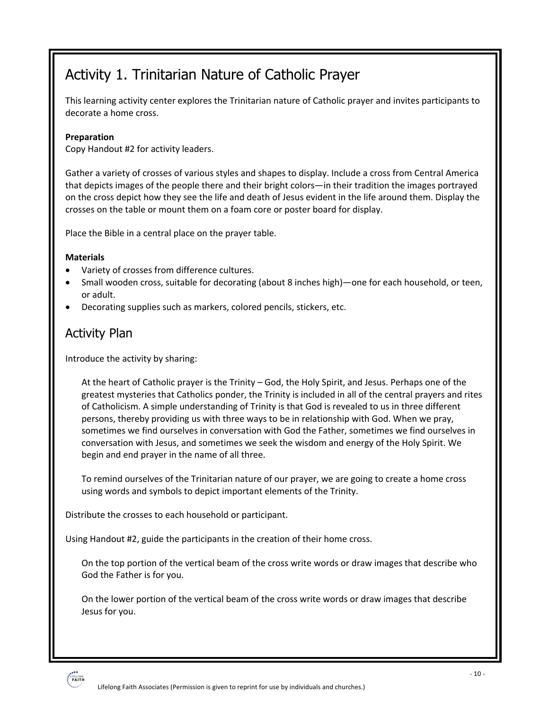# Activity 1. Trinitarian Nature of Catholic Prayer

This learning activity center explores the Trinitarian nature of Catholic prayer and invites participants to decorate a home cross.

#### **Preparation**

Copy Handout #2 for activity leaders.

Gather a variety of crosses of various styles and shapes to display. Include a cross from Central America that depicts images of the people there and their bright colors—in their tradition the images portrayed on the cross depict how they see the life and death of Jesus evident in the life around them. Display the crosses on the table or mount them on a foam core or poster board for display.

Place the Bible in a central place on the prayer table.

#### **Materials**

- Variety of crosses from difference cultures.
- Small wooden cross, suitable for decorating (about 8 inches high)—one for each household, or teen, or adult.
- Decorating supplies such as markers, colored pencils, stickers, etc.

### Activity Plan

Introduce the activity by sharing:

At the heart of Catholic prayer is the Trinity – God, the Holy Spirit, and Jesus. Perhaps one of the greatest mysteries that Catholics ponder, the Trinity is included in all of the central prayers and rites of Catholicism. A simple understanding of Trinity is that God is revealed to us in three different persons, thereby providing us with three ways to be in relationship with God. When we pray, sometimes we find ourselves in conversation with God the Father, sometimes we find ourselves in conversation with Jesus, and sometimes we seek the wisdom and energy of the Holy Spirit. We begin and end prayer in the name of all three.

To remind ourselves of the Trinitarian nature of our prayer, we are going to create a home cross using words and symbols to depict important elements of the Trinity.

Distribute the crosses to each household or participant.

Using Handout #2, guide the participants in the creation of their home cross.

On the top portion of the vertical beam of the cross write words or draw images that describe who God the Father is for you.

On the lower portion of the vertical beam of the cross write words or draw images that describe Jesus for you.

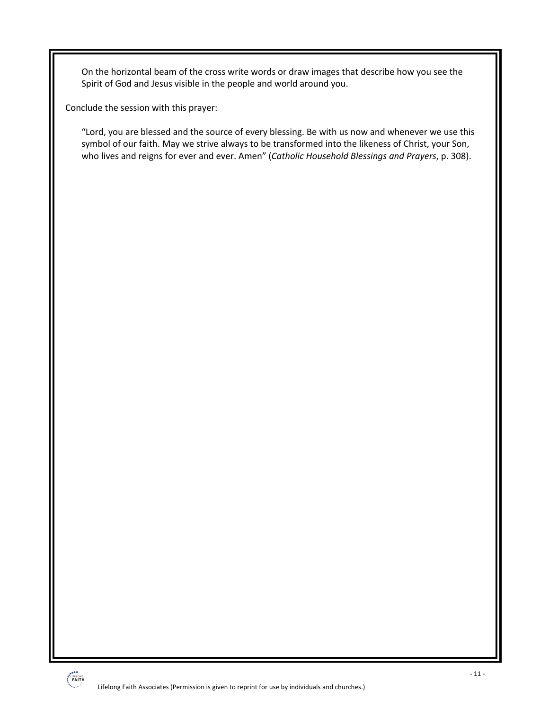On the horizontal beam of the cross write words or draw images that describe how you see the Spirit of God and Jesus visible in the people and world around you.

Conclude the session with this prayer:

"Lord, you are blessed and the source of every blessing. Be with us now and whenever we use this symbol of our faith. May we strive always to be transformed into the likeness of Christ, your Son, who lives and reigns for ever and ever. Amen" (*Catholic Household Blessings and Prayers*, p. 308).

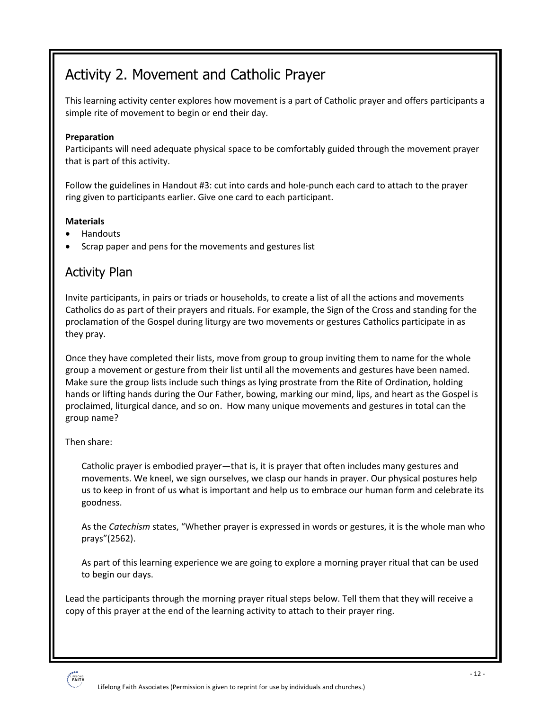# Activity 2. Movement and Catholic Prayer

This learning activity center explores how movement is a part of Catholic prayer and offers participants a simple rite of movement to begin or end their day.

#### **Preparation**

Participants will need adequate physical space to be comfortably guided through the movement prayer that is part of this activity.

Follow the guidelines in Handout #3: cut into cards and hole-punch each card to attach to the prayer ring given to participants earlier. Give one card to each participant.

#### **Materials**

- Handouts
- Scrap paper and pens for the movements and gestures list

### Activity Plan

Invite participants, in pairs or triads or households, to create a list of all the actions and movements Catholics do as part of their prayers and rituals. For example, the Sign of the Cross and standing for the proclamation of the Gospel during liturgy are two movements or gestures Catholics participate in as they pray.

Once they have completed their lists, move from group to group inviting them to name for the whole group a movement or gesture from their list until all the movements and gestures have been named. Make sure the group lists include such things as lying prostrate from the Rite of Ordination, holding hands or lifting hands during the Our Father, bowing, marking our mind, lips, and heart as the Gospel is proclaimed, liturgical dance, and so on. How many unique movements and gestures in total can the group name?

#### Then share:

Catholic prayer is embodied prayer—that is, it is prayer that often includes many gestures and movements. We kneel, we sign ourselves, we clasp our hands in prayer. Our physical postures help us to keep in front of us what is important and help us to embrace our human form and celebrate its goodness.

As the *Catechism* states, "Whether prayer is expressed in words or gestures, it is the whole man who prays"(2562).

As part of this learning experience we are going to explore a morning prayer ritual that can be used to begin our days.

Lead the participants through the morning prayer ritual steps below. Tell them that they will receive a copy of this prayer at the end of the learning activity to attach to their prayer ring.

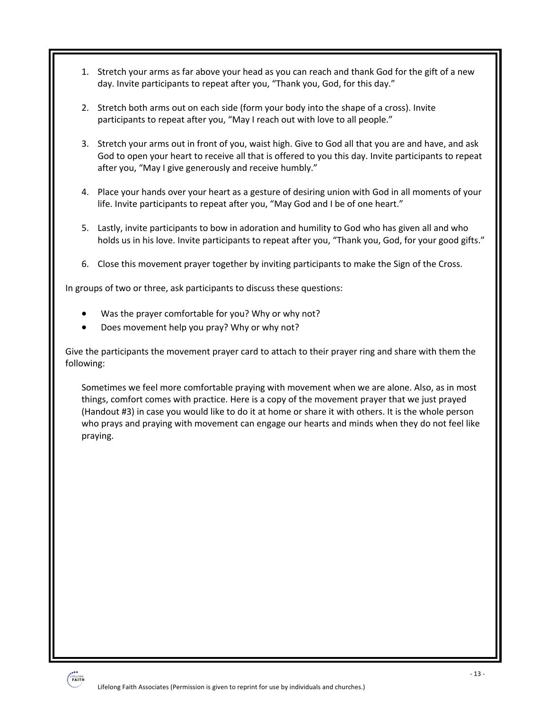- 1. Stretch your arms as far above your head as you can reach and thank God for the gift of a new day. Invite participants to repeat after you, "Thank you, God, for this day."
- 2. Stretch both arms out on each side (form your body into the shape of a cross). Invite participants to repeat after you, "May I reach out with love to all people."
- 3. Stretch your arms out in front of you, waist high. Give to God all that you are and have, and ask God to open your heart to receive all that is offered to you this day. Invite participants to repeat after you, "May I give generously and receive humbly."
- 4. Place your hands over your heart as a gesture of desiring union with God in all moments of your life. Invite participants to repeat after you, "May God and I be of one heart."
- 5. Lastly, invite participants to bow in adoration and humility to God who has given all and who holds us in his love. Invite participants to repeat after you, "Thank you, God, for your good gifts."
- 6. Close this movement prayer together by inviting participants to make the Sign of the Cross.

In groups of two or three, ask participants to discuss these questions:

- Was the prayer comfortable for you? Why or why not?
- Does movement help you pray? Why or why not?

Give the participants the movement prayer card to attach to their prayer ring and share with them the following:

Sometimes we feel more comfortable praying with movement when we are alone. Also, as in most things, comfort comes with practice. Here is a copy of the movement prayer that we just prayed (Handout #3) in case you would like to do it at home or share it with others. It is the whole person who prays and praying with movement can engage our hearts and minds when they do not feel like praying.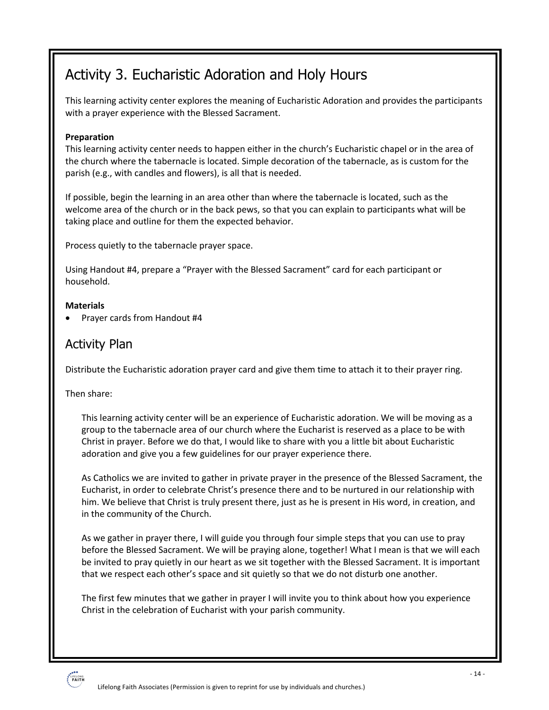# Activity 3. Eucharistic Adoration and Holy Hours

This learning activity center explores the meaning of Eucharistic Adoration and provides the participants with a prayer experience with the Blessed Sacrament.

#### **Preparation**

This learning activity center needs to happen either in the church's Eucharistic chapel or in the area of the church where the tabernacle is located. Simple decoration of the tabernacle, as is custom for the parish (e.g., with candles and flowers), is all that is needed.

If possible, begin the learning in an area other than where the tabernacle is located, such as the welcome area of the church or in the back pews, so that you can explain to participants what will be taking place and outline for them the expected behavior.

Process quietly to the tabernacle prayer space.

Using Handout #4, prepare a "Prayer with the Blessed Sacrament" card for each participant or household.

#### **Materials**

• Prayer cards from Handout #4

### Activity Plan

Distribute the Eucharistic adoration prayer card and give them time to attach it to their prayer ring.

Then share:

This learning activity center will be an experience of Eucharistic adoration. We will be moving as a group to the tabernacle area of our church where the Eucharist is reserved as a place to be with Christ in prayer. Before we do that, I would like to share with you a little bit about Eucharistic adoration and give you a few guidelines for our prayer experience there.

As Catholics we are invited to gather in private prayer in the presence of the Blessed Sacrament, the Eucharist, in order to celebrate Christ's presence there and to be nurtured in our relationship with him. We believe that Christ is truly present there, just as he is present in His word, in creation, and in the community of the Church.

As we gather in prayer there, I will guide you through four simple steps that you can use to pray before the Blessed Sacrament. We will be praying alone, together! What I mean is that we will each be invited to pray quietly in our heart as we sit together with the Blessed Sacrament. It is important that we respect each other's space and sit quietly so that we do not disturb one another.

The first few minutes that we gather in prayer I will invite you to think about how you experience Christ in the celebration of Eucharist with your parish community.

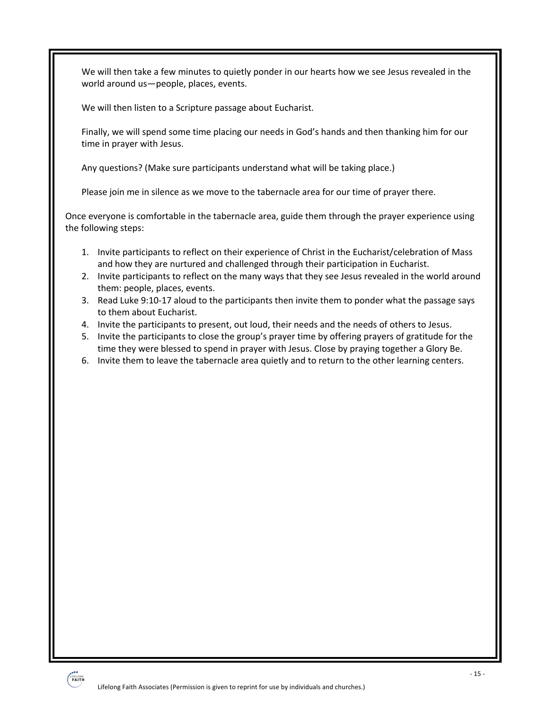We will then take a few minutes to quietly ponder in our hearts how we see Jesus revealed in the world around us—people, places, events.

We will then listen to a Scripture passage about Eucharist.

Finally, we will spend some time placing our needs in God's hands and then thanking him for our time in prayer with Jesus.

Any questions? (Make sure participants understand what will be taking place.)

Please join me in silence as we move to the tabernacle area for our time of prayer there.

Once everyone is comfortable in the tabernacle area, guide them through the prayer experience using the following steps:

- 1. Invite participants to reflect on their experience of Christ in the Eucharist/celebration of Mass and how they are nurtured and challenged through their participation in Eucharist.
- 2. Invite participants to reflect on the many ways that they see Jesus revealed in the world around them: people, places, events.
- 3. Read Luke 9:10-17 aloud to the participants then invite them to ponder what the passage says to them about Eucharist.
- 4. Invite the participants to present, out loud, their needs and the needs of others to Jesus.
- 5. Invite the participants to close the group's prayer time by offering prayers of gratitude for the time they were blessed to spend in prayer with Jesus. Close by praying together a Glory Be.
- 6. Invite them to leave the tabernacle area quietly and to return to the other learning centers.

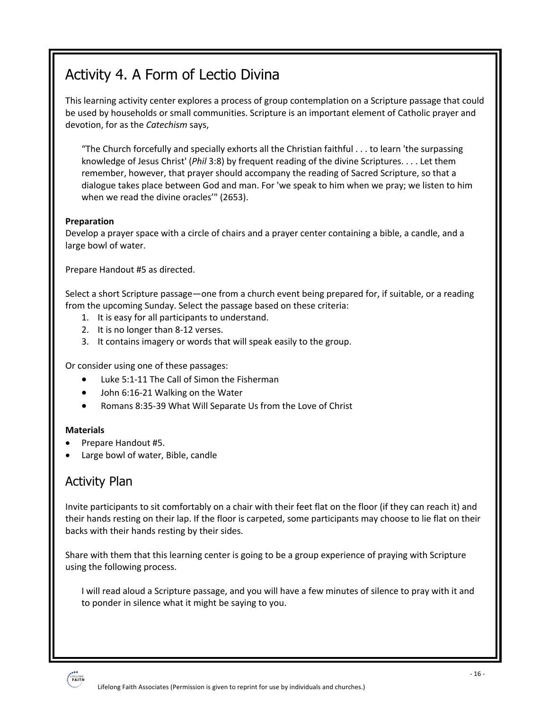# Activity 4. A Form of Lectio Divina

This learning activity center explores a process of group contemplation on a Scripture passage that could be used by households or small communities. Scripture is an important element of Catholic prayer and devotion, for as the *Catechism* says,

"The Church forcefully and specially exhorts all the Christian faithful . . . to learn 'the surpassing knowledge of Jesus Christ' (*Phil* 3:8) by frequent reading of the divine Scriptures. . . . Let them remember, however, that prayer should accompany the reading of Sacred Scripture, so that a dialogue takes place between God and man. For 'we speak to him when we pray; we listen to him when we read the divine oracles'" (2653).

#### **Preparation**

Develop a prayer space with a circle of chairs and a prayer center containing a bible, a candle, and a large bowl of water.

Prepare Handout #5 as directed.

Select a short Scripture passage—one from a church event being prepared for, if suitable, or a reading from the upcoming Sunday. Select the passage based on these criteria:

- 1. It is easy for all participants to understand.
- 2. It is no longer than 8-12 verses.
- 3. It contains imagery or words that will speak easily to the group.

Or consider using one of these passages:

- Luke 5:1-11 The Call of Simon the Fisherman
- John 6:16-21 Walking on the Water
- Romans 8:35-39 What Will Separate Us from the Love of Christ

#### **Materials**

- Prepare Handout #5.
- Large bowl of water, Bible, candle

### Activity Plan

Invite participants to sit comfortably on a chair with their feet flat on the floor (if they can reach it) and their hands resting on their lap. If the floor is carpeted, some participants may choose to lie flat on their backs with their hands resting by their sides.

Share with them that this learning center is going to be a group experience of praying with Scripture using the following process.

I will read aloud a Scripture passage, and you will have a few minutes of silence to pray with it and to ponder in silence what it might be saying to you.

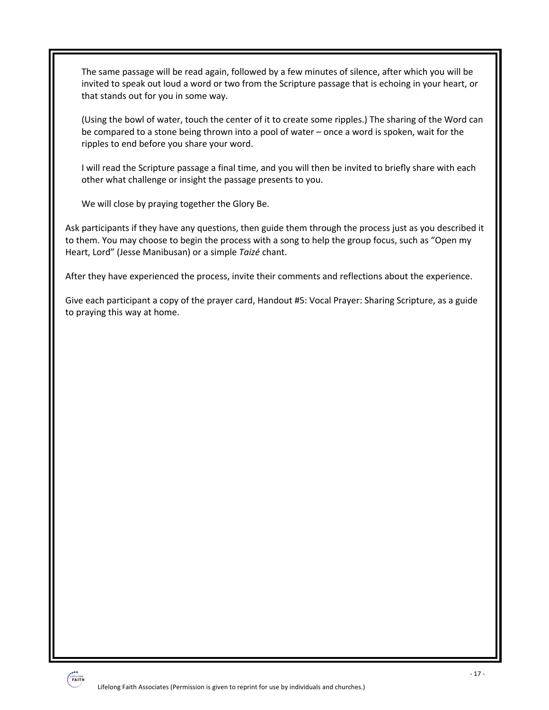The same passage will be read again, followed by a few minutes of silence, after which you will be invited to speak out loud a word or two from the Scripture passage that is echoing in your heart, or that stands out for you in some way.

(Using the bowl of water, touch the center of it to create some ripples.) The sharing of the Word can be compared to a stone being thrown into a pool of water – once a word is spoken, wait for the ripples to end before you share your word.

I will read the Scripture passage a final time, and you will then be invited to briefly share with each other what challenge or insight the passage presents to you.

We will close by praying together the Glory Be.

Ask participants if they have any questions, then guide them through the process just as you described it to them. You may choose to begin the process with a song to help the group focus, such as "Open my Heart, Lord" (Jesse Manibusan) or a simple *Taizé* chant.

After they have experienced the process, invite their comments and reflections about the experience.

Give each participant a copy of the prayer card, Handout #5: Vocal Prayer: Sharing Scripture, as a guide to praying this way at home.

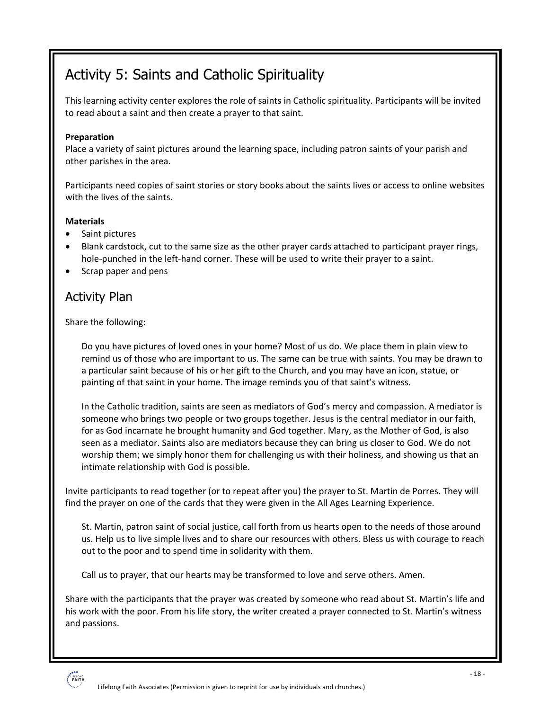# Activity 5: Saints and Catholic Spirituality

This learning activity center explores the role of saints in Catholic spirituality. Participants will be invited to read about a saint and then create a prayer to that saint.

#### **Preparation**

Place a variety of saint pictures around the learning space, including patron saints of your parish and other parishes in the area.

Participants need copies of saint stories or story books about the saints lives or access to online websites with the lives of the saints.

#### **Materials**

- Saint pictures
- Blank cardstock, cut to the same size as the other prayer cards attached to participant prayer rings, hole-punched in the left-hand corner. These will be used to write their prayer to a saint.
- Scrap paper and pens

### Activity Plan

Share the following:

Do you have pictures of loved ones in your home? Most of us do. We place them in plain view to remind us of those who are important to us. The same can be true with saints. You may be drawn to a particular saint because of his or her gift to the Church, and you may have an icon, statue, or painting of that saint in your home. The image reminds you of that saint's witness.

In the Catholic tradition, saints are seen as mediators of God's mercy and compassion. A mediator is someone who brings two people or two groups together. Jesus is the central mediator in our faith, for as God incarnate he brought humanity and God together. Mary, as the Mother of God, is also seen as a mediator. Saints also are mediators because they can bring us closer to God. We do not worship them; we simply honor them for challenging us with their holiness, and showing us that an intimate relationship with God is possible.

Invite participants to read together (or to repeat after you) the prayer to St. Martin de Porres. They will find the prayer on one of the cards that they were given in the All Ages Learning Experience.

St. Martin, patron saint of social justice, call forth from us hearts open to the needs of those around us. Help us to live simple lives and to share our resources with others. Bless us with courage to reach out to the poor and to spend time in solidarity with them.

Call us to prayer, that our hearts may be transformed to love and serve others. Amen.

Share with the participants that the prayer was created by someone who read about St. Martin's life and his work with the poor. From his life story, the writer created a prayer connected to St. Martin's witness and passions.

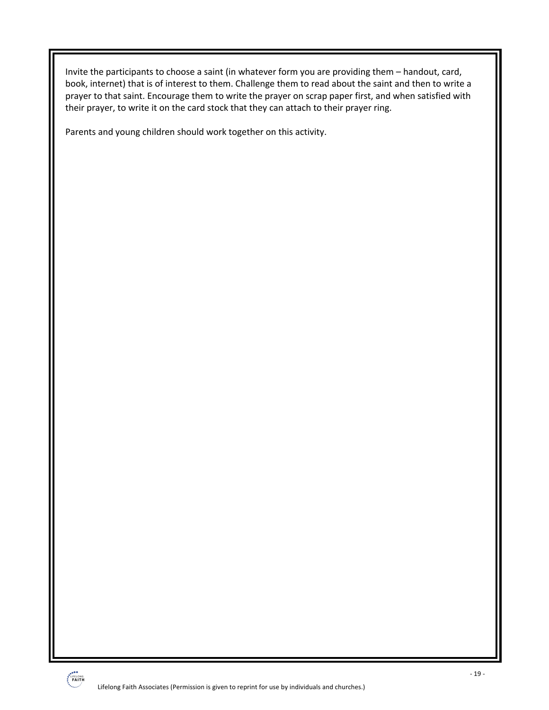Invite the participants to choose a saint (in whatever form you are providing them – handout, card, book, internet) that is of interest to them. Challenge them to read about the saint and then to write a prayer to that saint. Encourage them to write the prayer on scrap paper first, and when satisfied with their prayer, to write it on the card stock that they can attach to their prayer ring.

Parents and young children should work together on this activity.

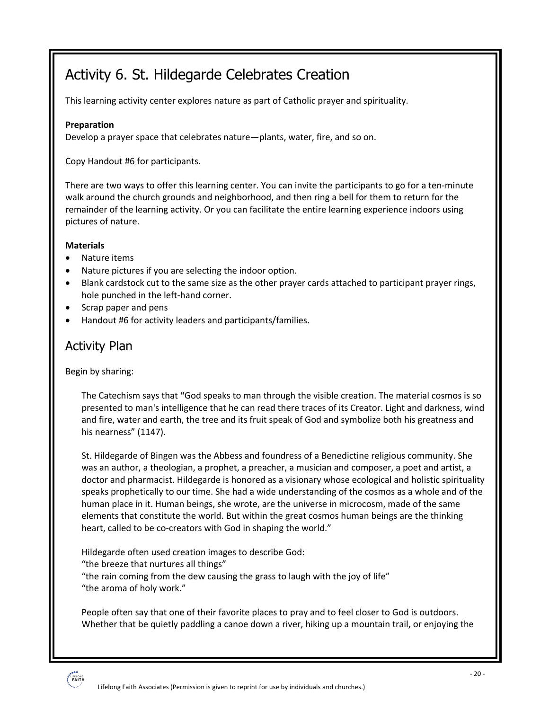# Activity 6. St. Hildegarde Celebrates Creation

This learning activity center explores nature as part of Catholic prayer and spirituality.

#### **Preparation**

Develop a prayer space that celebrates nature—plants, water, fire, and so on.

Copy Handout #6 for participants.

There are two ways to offer this learning center. You can invite the participants to go for a ten-minute walk around the church grounds and neighborhood, and then ring a bell for them to return for the remainder of the learning activity. Or you can facilitate the entire learning experience indoors using pictures of nature.

#### **Materials**

- Nature items
- Nature pictures if you are selecting the indoor option.
- Blank cardstock cut to the same size as the other prayer cards attached to participant prayer rings, hole punched in the left-hand corner.
- Scrap paper and pens
- Handout #6 for activity leaders and participants/families.

### Activity Plan

Begin by sharing:

The Catechism says that **"**God speaks to man through the visible creation. The material cosmos is so presented to man's intelligence that he can read there traces of its Creator. Light and darkness, wind and fire, water and earth, the tree and its fruit speak of God and symbolize both his greatness and his nearness" (1147).

St. Hildegarde of Bingen was the Abbess and foundress of a Benedictine religious community. She was an author, a theologian, a prophet, a preacher, a musician and composer, a poet and artist, a doctor and pharmacist. Hildegarde is honored as a visionary whose ecological and holistic spirituality speaks prophetically to our time. She had a wide understanding of the cosmos as a whole and of the human place in it. Human beings, she wrote, are the universe in microcosm, made of the same elements that constitute the world. But within the great cosmos human beings are the thinking heart, called to be co-creators with God in shaping the world."

Hildegarde often used creation images to describe God: "the breeze that nurtures all things" "the rain coming from the dew causing the grass to laugh with the joy of life" "the aroma of holy work."

People often say that one of their favorite places to pray and to feel closer to God is outdoors. Whether that be quietly paddling a canoe down a river, hiking up a mountain trail, or enjoying the

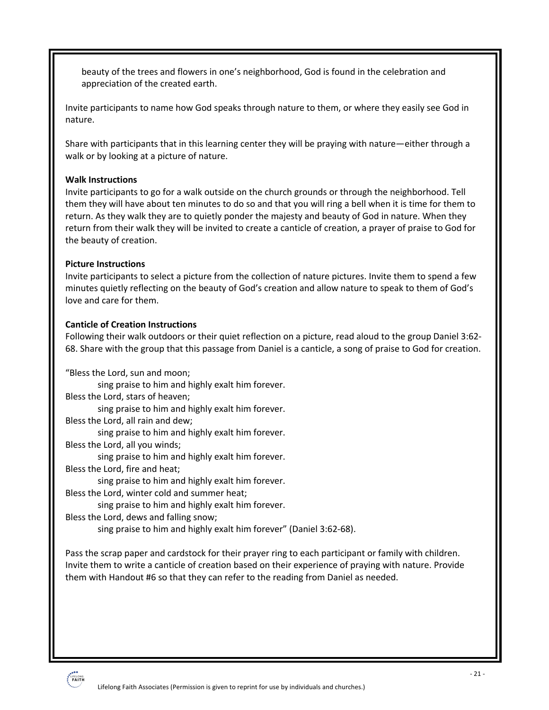beauty of the trees and flowers in one's neighborhood, God is found in the celebration and appreciation of the created earth.

Invite participants to name how God speaks through nature to them, or where they easily see God in nature.

Share with participants that in this learning center they will be praying with nature—either through a walk or by looking at a picture of nature.

#### **Walk Instructions**

Invite participants to go for a walk outside on the church grounds or through the neighborhood. Tell them they will have about ten minutes to do so and that you will ring a bell when it is time for them to return. As they walk they are to quietly ponder the majesty and beauty of God in nature. When they return from their walk they will be invited to create a canticle of creation, a prayer of praise to God for the beauty of creation.

#### **Picture Instructions**

Invite participants to select a picture from the collection of nature pictures. Invite them to spend a few minutes quietly reflecting on the beauty of God's creation and allow nature to speak to them of God's love and care for them.

#### **Canticle of Creation Instructions**

Following their walk outdoors or their quiet reflection on a picture, read aloud to the group Daniel 3:62- 68. Share with the group that this passage from Daniel is a canticle, a song of praise to God for creation.

"Bless the Lord, sun and moon;

sing praise to him and highly exalt him forever.

Bless the Lord, stars of heaven;

sing praise to him and highly exalt him forever.

Bless the Lord, all rain and dew;

sing praise to him and highly exalt him forever.

Bless the Lord, all you winds;

sing praise to him and highly exalt him forever.

Bless the Lord, fire and heat;

sing praise to him and highly exalt him forever.

Bless the Lord, winter cold and summer heat;

sing praise to him and highly exalt him forever.

Bless the Lord, dews and falling snow;

sing praise to him and highly exalt him forever" (Daniel 3:62-68).

Pass the scrap paper and cardstock for their prayer ring to each participant or family with children. Invite them to write a canticle of creation based on their experience of praying with nature. Provide them with Handout #6 so that they can refer to the reading from Daniel as needed.

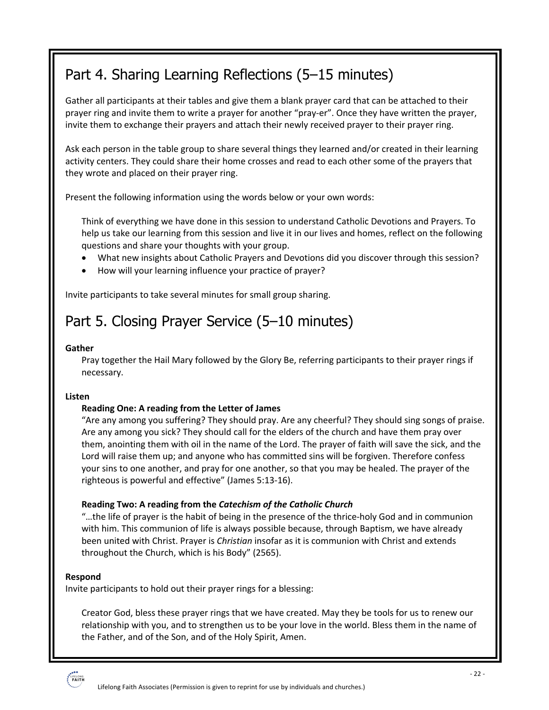# Part 4. Sharing Learning Reflections (5–15 minutes)

Gather all participants at their tables and give them a blank prayer card that can be attached to their prayer ring and invite them to write a prayer for another "pray-er". Once they have written the prayer, invite them to exchange their prayers and attach their newly received prayer to their prayer ring.

Ask each person in the table group to share several things they learned and/or created in their learning activity centers. They could share their home crosses and read to each other some of the prayers that they wrote and placed on their prayer ring.

Present the following information using the words below or your own words:

Think of everything we have done in this session to understand Catholic Devotions and Prayers. To help us take our learning from this session and live it in our lives and homes, reflect on the following questions and share your thoughts with your group.

- What new insights about Catholic Prayers and Devotions did you discover through this session?
- How will your learning influence your practice of prayer?

Invite participants to take several minutes for small group sharing.

# Part 5. Closing Prayer Service (5–10 minutes)

#### **Gather**

Pray together the Hail Mary followed by the Glory Be, referring participants to their prayer rings if necessary.

#### **Listen**

#### **Reading One: A reading from the Letter of James**

"Are any among you suffering? They should pray. Are any cheerful? They should sing songs of praise. Are any among you sick? They should call for the elders of the church and have them pray over them, anointing them with oil in the name of the Lord. The prayer of faith will save the sick, and the Lord will raise them up; and anyone who has committed sins will be forgiven. Therefore confess your sins to one another, and pray for one another, so that you may be healed. The prayer of the righteous is powerful and effective" (James 5:13-16).

#### **Reading Two: A reading from the** *Catechism of the Catholic Church*

"…the life of prayer is the habit of being in the presence of the thrice-holy God and in communion with him. This communion of life is always possible because, through Baptism, we have already been united with Christ. Prayer is *Christian* insofar as it is communion with Christ and extends throughout the Church, which is his Body" (2565).

#### **Respond**

Invite participants to hold out their prayer rings for a blessing:

Creator God, bless these prayer rings that we have created. May they be tools for us to renew our relationship with you, and to strengthen us to be your love in the world. Bless them in the name of the Father, and of the Son, and of the Holy Spirit, Amen.